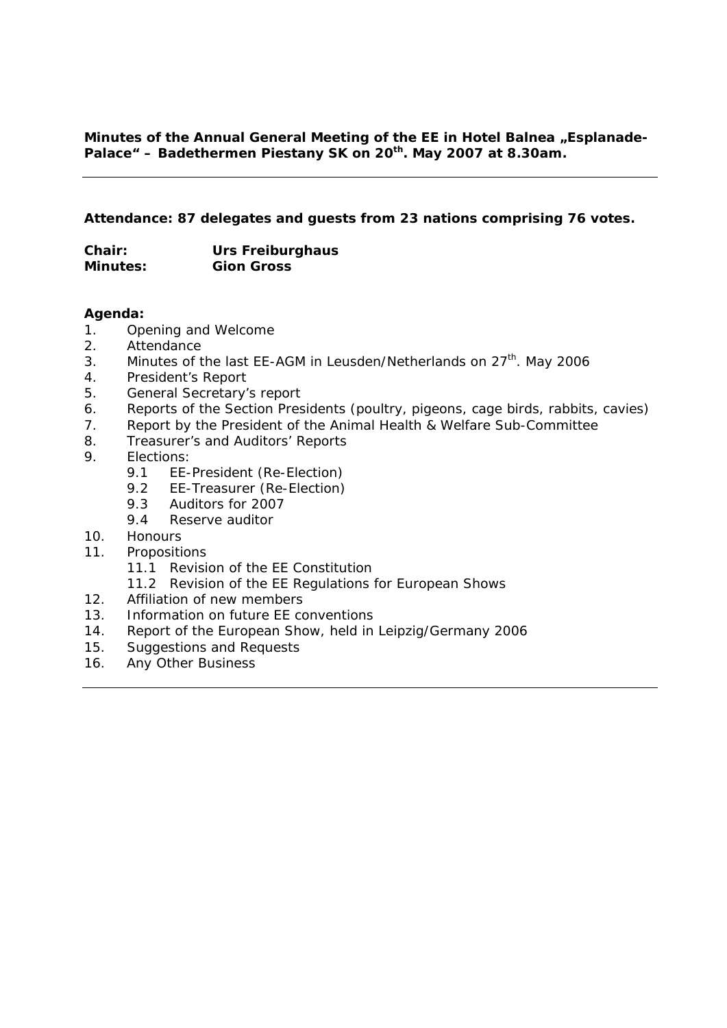#### **Attendance: 87 delegates and guests from 23 nations comprising 76 votes.**

| Chair:          | Urs Freiburghaus  |
|-----------------|-------------------|
| <b>Minutes:</b> | <b>Gion Gross</b> |

#### **Agenda:**

- 1. Opening and Welcome
- 2. Attendance
- 3. Minutes of the last EE-AGM in Leusden/Netherlands on  $27<sup>th</sup>$ . May 2006
- 4. President's Report
- 5. General Secretary's report
- 6. Reports of the Section Presidents (poultry, pigeons, cage birds, rabbits, cavies)
- 7. Report by the President of the Animal Health & Welfare Sub-Committee
- 8. Treasurer's and Auditors' Reports
- 9. Elections:
	- 9.1 EE-President (Re-Election)
	- 9.2 EE-Treasurer (Re-Election)
	- 9.3 Auditors for 2007
	- 9.4 Reserve auditor
- 10. Honours
- 11. Propositions
	- 11.1 Revision of the EE Constitution
	- 11.2 Revision of the EE Regulations for European Shows
- 12. Affiliation of new members
- 13. Information on future EE conventions
- 14. Report of the European Show, held in Leipzig/Germany 2006
- 15. Suggestions and Requests
- 16. Any Other Business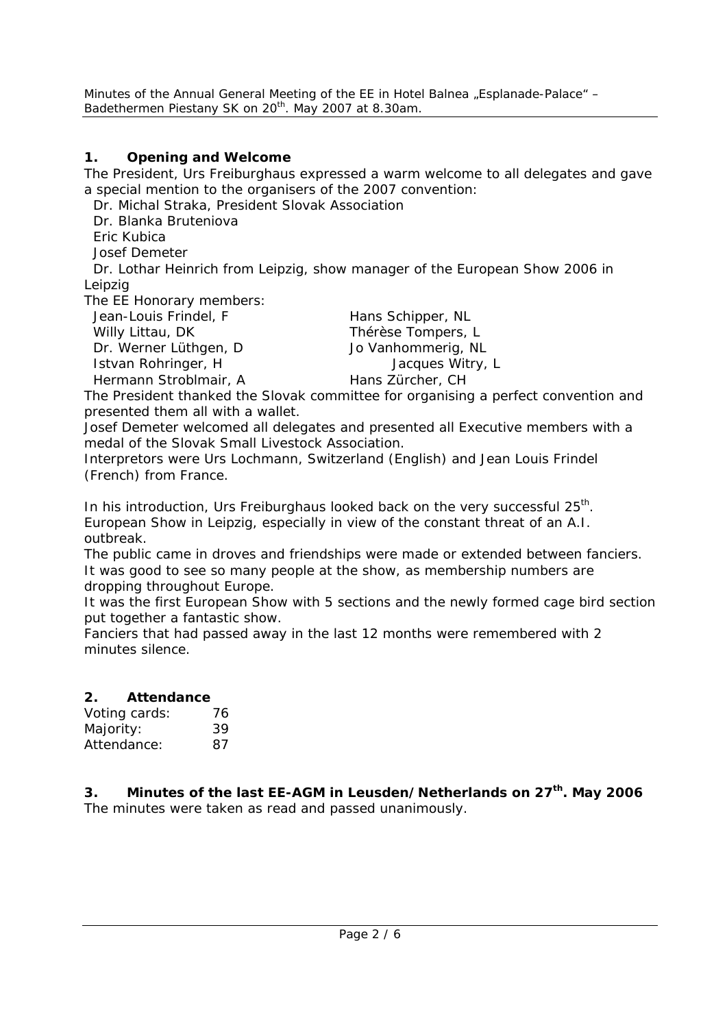## **1. Opening and Welcome**

The President, Urs Freiburghaus expressed a warm welcome to all delegates and gave a special mention to the organisers of the 2007 convention:

Dr. Michal Straka, President Slovak Association

Dr. Blanka Bruteniova

Eric Kubica

Josef Demeter

 Dr. Lothar Heinrich from Leipzig, show manager of the European Show 2006 in Leipzig

The EE Honorary members:

| Jean-Louis Frindel, F | Hans Schipper, NL  |
|-----------------------|--------------------|
| Willy Littau, DK      | Thérèse Tompers, L |
| Dr. Werner Lüthgen, D | Jo Vanhommerig, NL |
| Istvan Rohringer, H   | Jacques Witry, L   |
| Hermann Stroblmair, A | Hans Zürcher, CH   |
|                       |                    |

The President thanked the Slovak committee for organising a perfect convention and presented them all with a wallet.

Josef Demeter welcomed all delegates and presented all Executive members with a medal of the Slovak Small Livestock Association.

Interpretors were Urs Lochmann, Switzerland (English) and Jean Louis Frindel (French) from France.

In his introduction, Urs Freiburghaus looked back on the very successful 25<sup>th</sup>. European Show in Leipzig, especially in view of the constant threat of an A.I. outbreak.

The public came in droves and friendships were made or extended between fanciers. It was good to see so many people at the show, as membership numbers are dropping throughout Europe.

It was the first European Show with 5 sections and the newly formed cage bird section put together a fantastic show.

Fanciers that had passed away in the last 12 months were remembered with 2 minutes silence.

## **2. Attendance**

| Voting cards: | 76 |
|---------------|----|
| Majority:     | 39 |
| Attendance:   | 87 |

3. Minutes of the last EE-AGM in Leusden/Netherlands on 27<sup>th</sup>. May 2006 The minutes were taken as read and passed unanimously.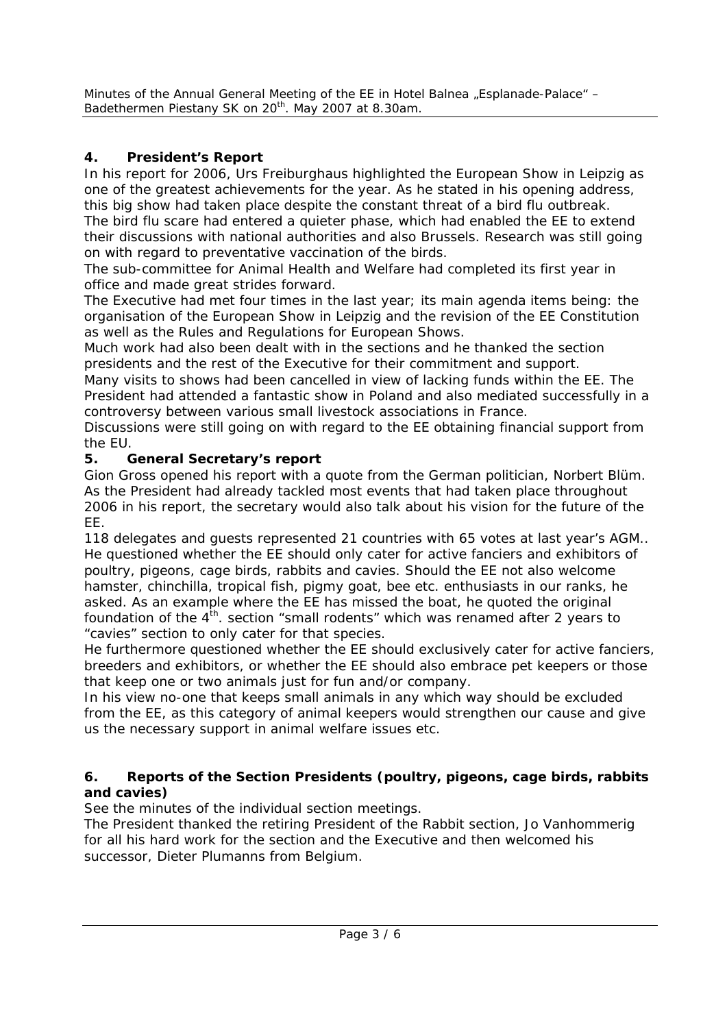# **4. President's Report**

In his report for 2006, Urs Freiburghaus highlighted the European Show in Leipzig as one of the greatest achievements for the year. As he stated in his opening address, this big show had taken place despite the constant threat of a bird flu outbreak. The bird flu scare had entered a quieter phase, which had enabled the EE to extend their discussions with national authorities and also Brussels. Research was still going on with regard to preventative vaccination of the birds.

The sub-committee for Animal Health and Welfare had completed its first year in office and made great strides forward.

The Executive had met four times in the last year; its main agenda items being: the organisation of the European Show in Leipzig and the revision of the EE Constitution as well as the Rules and Regulations for European Shows.

Much work had also been dealt with in the sections and he thanked the section presidents and the rest of the Executive for their commitment and support.

Many visits to shows had been cancelled in view of lacking funds within the EE. The President had attended a fantastic show in Poland and also mediated successfully in a controversy between various small livestock associations in France.

Discussions were still going on with regard to the EE obtaining financial support from the EU.

## **5. General Secretary's report**

Gion Gross opened his report with a quote from the German politician, Norbert Blüm. As the President had already tackled most events that had taken place throughout 2006 in his report, the secretary would also talk about his vision for the future of the EE.

118 delegates and guests represented 21 countries with 65 votes at last year's AGM.. He questioned whether the EE should only cater for active fanciers and exhibitors of poultry, pigeons, cage birds, rabbits and cavies. Should the EE not also welcome hamster, chinchilla, tropical fish, pigmy goat, bee etc. enthusiasts in our ranks, he asked. As an example where the EE has missed the boat, he quoted the original foundation of the  $4<sup>th</sup>$ . section "small rodents" which was renamed after 2 years to "cavies" section to only cater for that species.

He furthermore questioned whether the EE should exclusively cater for active fanciers, breeders and exhibitors, or whether the EE should also embrace pet keepers or those that keep one or two animals just for fun and/or company.

In his view no-one that keeps small animals in any which way should be excluded from the EE, as this category of animal keepers would strengthen our cause and give us the necessary support in animal welfare issues etc.

### **6. Reports of the Section Presidents (poultry, pigeons, cage birds, rabbits and cavies)**

See the minutes of the individual section meetings.

The President thanked the retiring President of the Rabbit section, Jo Vanhommerig for all his hard work for the section and the Executive and then welcomed his successor, Dieter Plumanns from Belgium.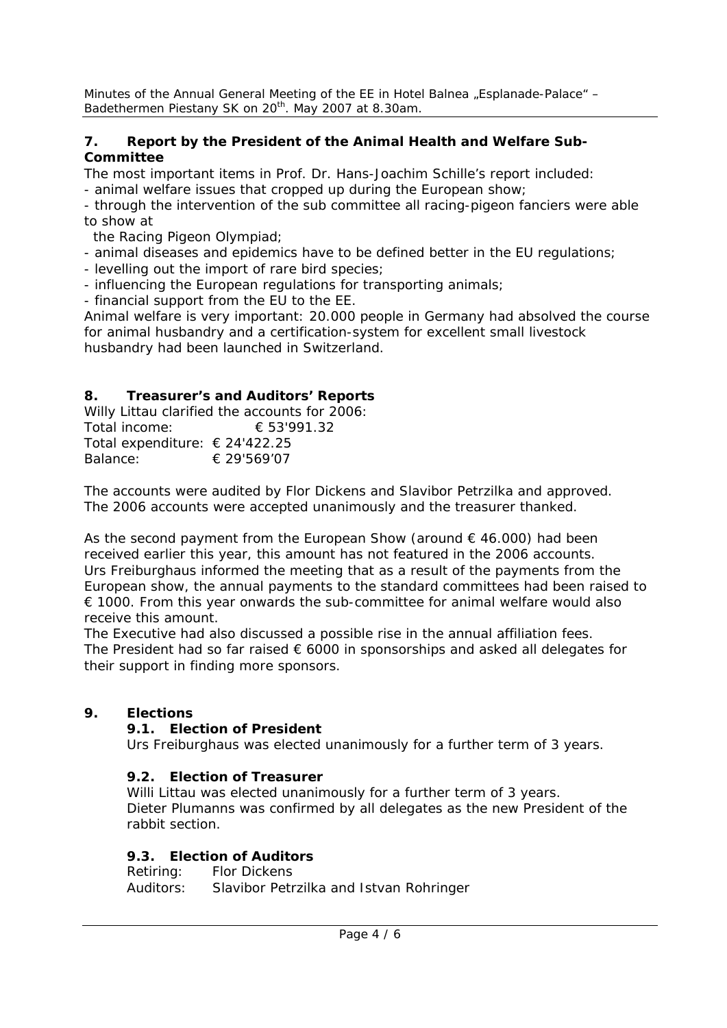#### **7. Report by the President of the Animal Health and Welfare Sub-Committee**

The most important items in Prof. Dr. Hans-Joachim Schille's report included:

- animal welfare issues that cropped up during the European show;

- through the intervention of the sub committee all racing-pigeon fanciers were able to show at

the Racing Pigeon Olympiad;

- animal diseases and epidemics have to be defined better in the EU regulations;

- levelling out the import of rare bird species;

- influencing the European regulations for transporting animals;

- financial support from the EU to the EE.

Animal welfare is very important: 20.000 people in Germany had absolved the course for animal husbandry and a certification-system for excellent small livestock husbandry had been launched in Switzerland.

## **8. Treasurer's and Auditors' Reports**

Willy Littau clarified the accounts for 2006: Total income: € 53'991.32 Total expenditure: € 24'422.25 Balance: € 29'569'07

The accounts were audited by Flor Dickens and Slavibor Petrzilka and approved. The 2006 accounts were accepted unanimously and the treasurer thanked.

As the second payment from the European Show (around  $\epsilon$  46.000) had been received earlier this year, this amount has not featured in the 2006 accounts. Urs Freiburghaus informed the meeting that as a result of the payments from the European show, the annual payments to the standard committees had been raised to  $\epsilon$  1000. From this year onwards the sub-committee for animal welfare would also receive this amount.

The Executive had also discussed a possible rise in the annual affiliation fees. The President had so far raised  $\epsilon$  6000 in sponsorships and asked all delegates for their support in finding more sponsors.

## **9. Elections**

## **9.1. Election of President**

Urs Freiburghaus was elected unanimously for a further term of 3 years.

## **9.2. Election of Treasurer**

Willi Littau was elected unanimously for a further term of 3 years. Dieter Plumanns was confirmed by all delegates as the new President of the rabbit section.

#### **9.3. Election of Auditors**

Retiring: Flor Dickens Auditors: Slavibor Petrzilka and Istvan Rohringer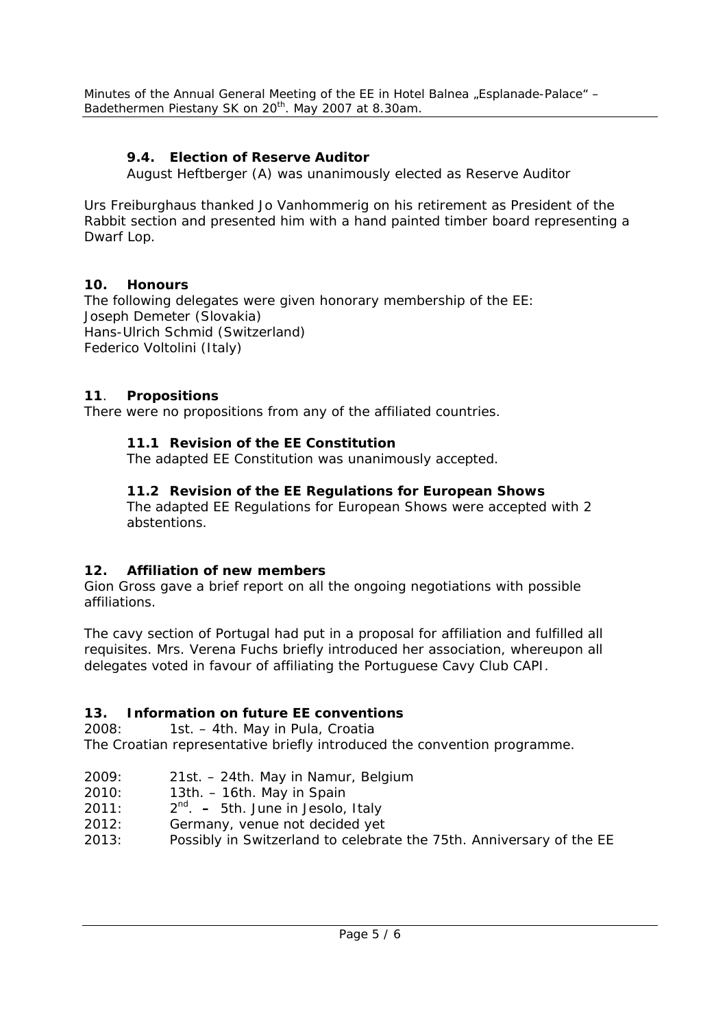## **9.4. Election of Reserve Auditor**

August Heftberger (A) was unanimously elected as Reserve Auditor

Urs Freiburghaus thanked Jo Vanhommerig on his retirement as President of the Rabbit section and presented him with a hand painted timber board representing a Dwarf Lop.

### **10. Honours**

The following delegates were given honorary membership of the EE: Joseph Demeter (Slovakia) Hans-Ulrich Schmid (Switzerland) Federico Voltolini (Italy)

## **11**. **Propositions**

There were no propositions from any of the affiliated countries.

## **11.1 Revision of the EE Constitution**

The adapted EE Constitution was unanimously accepted.

## **11.2 Revision of the EE Regulations for European Shows**

The adapted EE Regulations for European Shows were accepted with 2 abstentions.

## **12. Affiliation of new members**

Gion Gross gave a brief report on all the ongoing negotiations with possible affiliations.

The cavy section of Portugal had put in a proposal for affiliation and fulfilled all requisites. Mrs. Verena Fuchs briefly introduced her association, whereupon all delegates voted in favour of affiliating the Portuguese Cavy Club CAPI.

## **13. Information on future EE conventions**

2008: 1st. – 4th. May in Pula, Croatia

The Croatian representative briefly introduced the convention programme.

- 2009: 21st. 24th. May in Namur, Belgium
- 2010: 13th. 16th. May in Spain
- 2011: 2nd. 5th. June in Jesolo, Italy
- 2012: Germany, venue not decided yet
- 2013: Possibly in Switzerland to celebrate the 75th. Anniversary of the EE